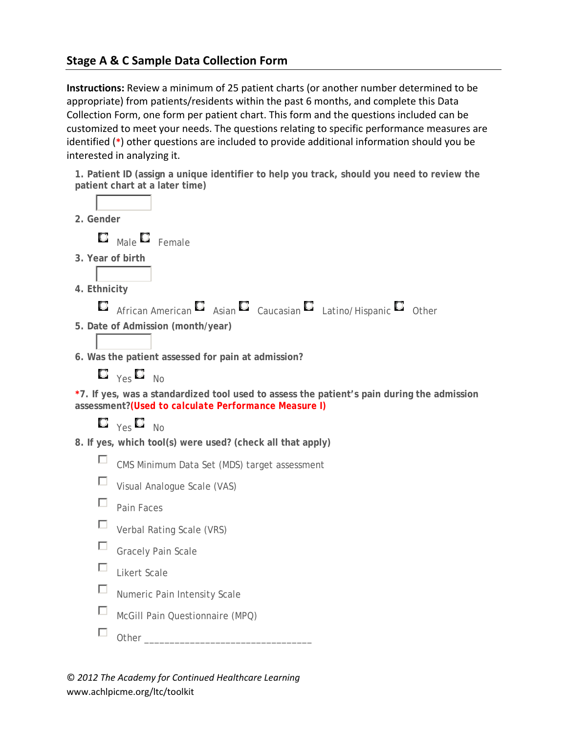## **Stage A & C Sample Data Collection Form**

**Instructions:** Review a minimum of 25 patient charts (or another number determined to be appropriate) from patients/residents within the past 6 months, and complete this Data Collection Form, one form per patient chart. This form and the questions included can be customized to meet your needs. The questions relating to specific performance measures are identified (**\***) other questions are included to provide additional information should you be interested in analyzing it.

| 1. Patient ID (assign a unique identifier to help you track, should you need to review the<br>patient chart at a later time)                        |  |  |  |  |  |  |  |  |
|-----------------------------------------------------------------------------------------------------------------------------------------------------|--|--|--|--|--|--|--|--|
|                                                                                                                                                     |  |  |  |  |  |  |  |  |
| 2. Gender                                                                                                                                           |  |  |  |  |  |  |  |  |
| О<br>Male $\Box$ Female                                                                                                                             |  |  |  |  |  |  |  |  |
| 3. Year of birth                                                                                                                                    |  |  |  |  |  |  |  |  |
|                                                                                                                                                     |  |  |  |  |  |  |  |  |
| 4. Ethnicity                                                                                                                                        |  |  |  |  |  |  |  |  |
| О<br>African American $\Box$ Asian $\Box$ Caucasian $\Box$ Latino/Hispanic $\Box$ Other                                                             |  |  |  |  |  |  |  |  |
| 5. Date of Admission (month/year)                                                                                                                   |  |  |  |  |  |  |  |  |
|                                                                                                                                                     |  |  |  |  |  |  |  |  |
| 6. Was the patient assessed for pain at admission?                                                                                                  |  |  |  |  |  |  |  |  |
| $\Box$ $_{\gamma e S}$ $\Box$ $_{\text{No}}$                                                                                                        |  |  |  |  |  |  |  |  |
| *7. If yes, was a standardized tool used to assess the patient's pain during the admission<br>assessment? (Used to calculate Performance Measure I) |  |  |  |  |  |  |  |  |
| $\Box$ $_{\gamma eS}$ $\Box$ $_{\text{No}}$                                                                                                         |  |  |  |  |  |  |  |  |
| 8. If yes, which tool(s) were used? (check all that apply)                                                                                          |  |  |  |  |  |  |  |  |
| ш<br>CMS Minimum Data Set (MDS) target assessment                                                                                                   |  |  |  |  |  |  |  |  |
| ப<br>Visual Analogue Scale (VAS)                                                                                                                    |  |  |  |  |  |  |  |  |
| П                                                                                                                                                   |  |  |  |  |  |  |  |  |
| Pain Faces                                                                                                                                          |  |  |  |  |  |  |  |  |
| П<br>Verbal Rating Scale (VRS)                                                                                                                      |  |  |  |  |  |  |  |  |
| Ш<br><b>Gracely Pain Scale</b>                                                                                                                      |  |  |  |  |  |  |  |  |
| П<br><b>Likert Scale</b>                                                                                                                            |  |  |  |  |  |  |  |  |
| □<br>Numeric Pain Intensity Scale                                                                                                                   |  |  |  |  |  |  |  |  |
| П<br>McGill Pain Questionnaire (MPQ)                                                                                                                |  |  |  |  |  |  |  |  |
| ப<br>Other                                                                                                                                          |  |  |  |  |  |  |  |  |
|                                                                                                                                                     |  |  |  |  |  |  |  |  |

© *2012 The Academy for Continued Healthcare Learning* www.achlpicme.org/ltc/toolkit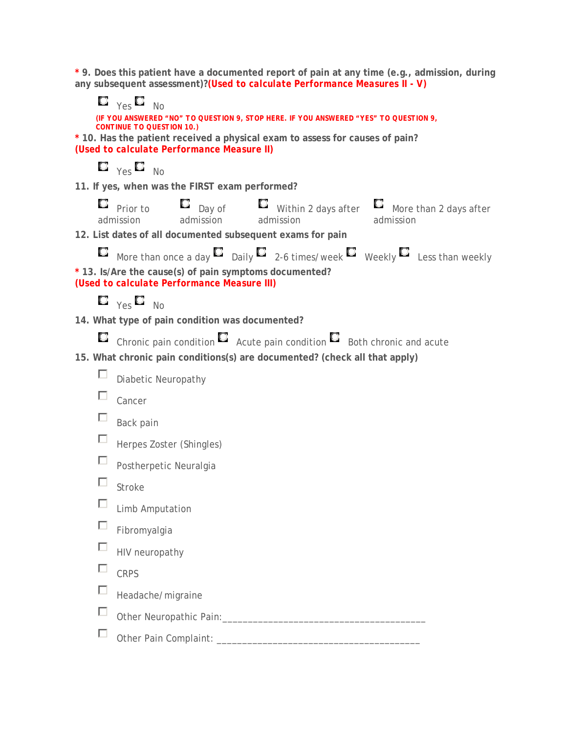**\* 9. Does this patient have a documented report of pain at any time (e.g., admission, during any subsequent assessment)?***(Used to calculate Performance Measures II - V)*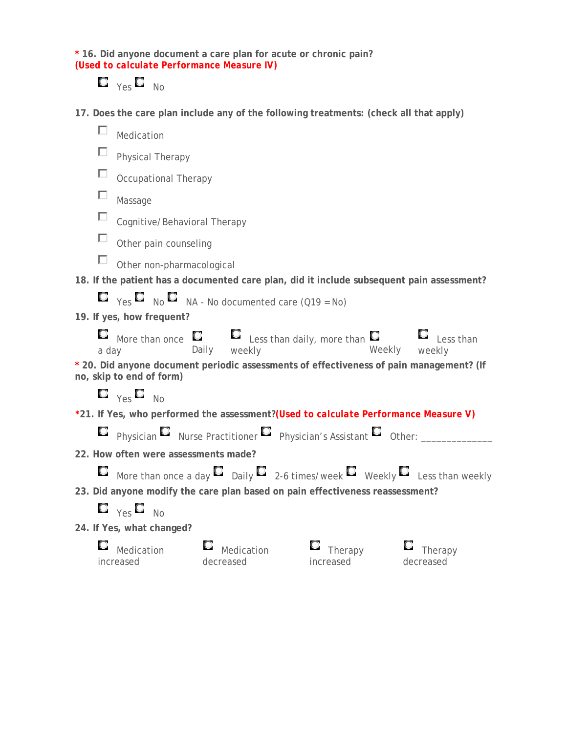**\* 16. Did anyone document a care plan for acute or chronic pain?** *(Used to calculate Performance Measure IV)*

## $\Box$   $_{\gamma e s}$   $\Box$   $_{\text{No}}$

**17. Does the care plan include any of the following treatments: (check all that apply)**

| □     | Medication                                                     |                         |                                                                                                      |                      |  |  |  |  |  |
|-------|----------------------------------------------------------------|-------------------------|------------------------------------------------------------------------------------------------------|----------------------|--|--|--|--|--|
|       | Physical Therapy                                               |                         |                                                                                                      |                      |  |  |  |  |  |
|       | Occupational Therapy                                           |                         |                                                                                                      |                      |  |  |  |  |  |
|       | Massage                                                        |                         |                                                                                                      |                      |  |  |  |  |  |
|       | Cognitive/Behavioral Therapy                                   |                         |                                                                                                      |                      |  |  |  |  |  |
|       | Other pain counseling                                          |                         |                                                                                                      |                      |  |  |  |  |  |
|       | Other non-pharmacological                                      |                         |                                                                                                      |                      |  |  |  |  |  |
|       |                                                                |                         | 18. If the patient has a documented care plan, did it include subsequent pain assessment?            |                      |  |  |  |  |  |
|       | $\Box$ Yes $\Box$ No $\Box$ NA - No documented care (Q19 = No) |                         |                                                                                                      |                      |  |  |  |  |  |
|       | 19. If yes, how frequent?                                      |                         |                                                                                                      |                      |  |  |  |  |  |
| a day |                                                                |                         | More than once $\Box$ $\Box$ Less than daily, more than $\Box$ Less than ay Daily weekly weekly      |                      |  |  |  |  |  |
|       | no, skip to end of form)                                       |                         | * 20. Did anyone document periodic assessments of effectiveness of pain management? (If              |                      |  |  |  |  |  |
|       | $\Box$ $_{\text{Yes}}$ $\Box$ $_{\text{No}}$                   |                         |                                                                                                      |                      |  |  |  |  |  |
|       |                                                                |                         | *21. If Yes, who performed the assessment? (Used to calculate Performance Measure V)                 |                      |  |  |  |  |  |
|       |                                                                |                         | $\Box$ Physician $\Box$ Nurse Practitioner $\Box$ Physician's Assistant $\Box$ Other: ____           |                      |  |  |  |  |  |
|       | 22. How often were assessments made?                           |                         |                                                                                                      |                      |  |  |  |  |  |
|       |                                                                |                         | $\Box$ More than once a day $\Box$ Daily $\Box$ 2-6 times/week $\Box$ Weekly $\Box$ Less than weekly |                      |  |  |  |  |  |
|       |                                                                |                         | 23. Did anyone modify the care plan based on pain effectiveness reassessment?                        |                      |  |  |  |  |  |
|       | $\Box$ $_{\text{Yes}}$ $\Box$ $_{\text{No}}$                   |                         |                                                                                                      |                      |  |  |  |  |  |
|       | 24. If Yes, what changed?                                      |                         |                                                                                                      |                      |  |  |  |  |  |
|       | Medication<br>increased                                        | Medication<br>decreased | Therapy<br>increased                                                                                 | Therapy<br>decreased |  |  |  |  |  |